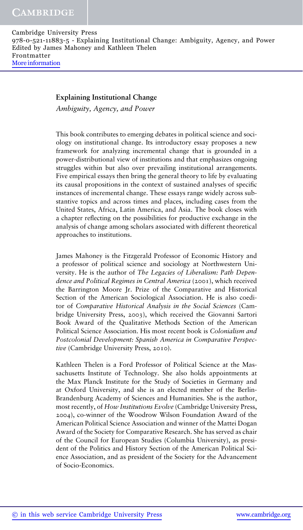### **Explaining Institutional Change**

*Ambiguity, Agency, and Power*

This book contributes to emerging debates in political science and sociology on institutional change. Its introductory essay proposes a new framework for analyzing incremental change that is grounded in a power-distributional view of institutions and that emphasizes ongoing struggles within but also over prevailing institutional arrangements. Five empirical essays then bring the general theory to life by evaluating its causal propositions in the context of sustained analyses of specific instances of incremental change. These essays range widely across substantive topics and across times and places, including cases from the United States, Africa, Latin America, and Asia. The book closes with a chapter reflecting on the possibilities for productive exchange in the analysis of change among scholars associated with different theoretical approaches to institutions.

James Mahoney is the Fitzgerald Professor of Economic History and a professor of political science and sociology at Northwestern University. He is the author of *The Legacies of Liberalism: Path Dependence and Political Regimes in Central America* (2001), which received the Barrington Moore Jr. Prize of the Comparative and Historical Section of the American Sociological Association. He is also coeditor of *Comparative Historical Analysis in the Social Sciences* (Cambridge University Press, 2003), which received the Giovanni Sartori Book Award of the Qualitative Methods Section of the American Political Science Association. His most recent book is *Colonialism and Postcolonial Development: Spanish America in Comparative Perspective* (Cambridge University Press, 2010).

Kathleen Thelen is a Ford Professor of Political Science at the Massachusetts Institute of Technology. She also holds appointments at the Max Planck Institute for the Study of Societies in Germany and at Oxford University, and she is an elected member of the Berlin-Brandenburg Academy of Sciences and Humanities. She is the author, most recently, of *How Institutions Evolve* (Cambridge University Press, 2004), co-winner of the Woodrow Wilson Foundation Award of the American Political Science Association and winner of the Mattei Dogan Award of the Society for Comparative Research. She has served as chair of the Council for European Studies (Columbia University), as president of the Politics and History Section of the American Political Science Association, and as president of the Society for the Advancement of Socio-Economics.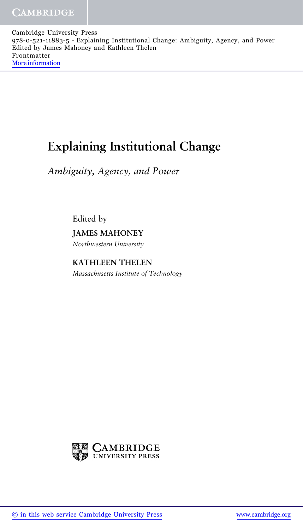# **Explaining Institutional Change**

*Ambiguity, Agency, and Power*

Edited by **JAMES MAHONEY** *Northwestern University*

**KATHLEEN THELEN** *Massachusetts Institute of Technology*

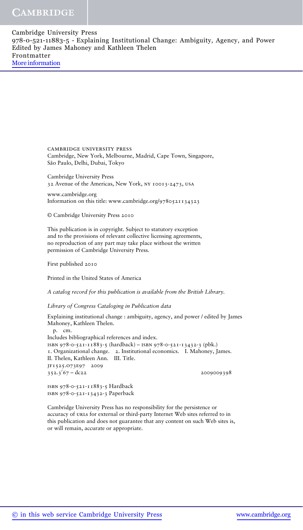### **CAMBRIDGE**

Cambridge University Press 978-0-521-11883-5 - Explaining Institutional Change: Ambiguity, Agency, and Power Edited by James Mahoney and Kathleen Thelen Frontmatter [More information](http://www.cambridge.org/9780521118835)

> cambridge university press Cambridge, New York, Melbourne, Madrid, Cape Town, Singapore, São Paulo, Delhi, Dubai, Tokyo

Cambridge University Press 32 Avenue of the Americas, New York, ny 10013-2473, usa

www.cambridge.org Information on this title: www.cambridge.org/9780521134323

© Cambridge University Press 2010

This publication is in copyright. Subject to statutory exception and to the provisions of relevant collective licensing agreements, no reproduction of any part may take place without the written permission of Cambridge University Press.

First published 2010

Printed in the United States of America

*A catalog record for this publication is available from the British Library.*

*Library of Congress Cataloging in Publication data*

Explaining institutional change : ambiguity, agency, and power / edited by James Mahoney, Kathleen Thelen. p. cm. Includes bibliographical references and index. isbn 978-0-521-11883-5 (hardback) – isbn 978-0-521-13432-3 (pbk.) 1. Organizational change. 2. Institutional economics. I. Mahoney, James. II. Thelen, Kathleen Ann. III. Title. jf1525.o73e97 2009  $352.3'67 - dc22$ 2009009398

isbn 978-0-521-11883-5 Hardback isbn 978-0-521-13432-3 Paperback

Cambridge University Press has no responsibility for the persistence or accuracy of urls for external or third-party Internet Web sites referred to in this publication and does not guarantee that any content on such Web sites is, or will remain, accurate or appropriate.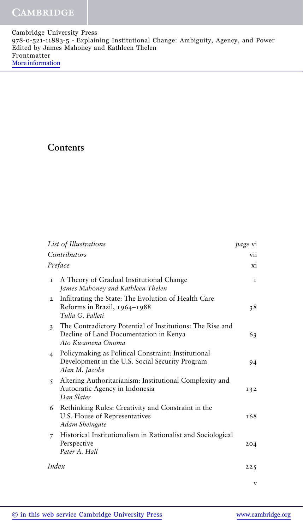# **Contents**

| List of Illustrations                                                                                                                      | <i>page</i> vi          |
|--------------------------------------------------------------------------------------------------------------------------------------------|-------------------------|
| Contributors                                                                                                                               | vii                     |
| Preface                                                                                                                                    | $\overline{\mathbf{x}}$ |
| A Theory of Gradual Institutional Change<br>T<br>James Mahoney and Kathleen Thelen                                                         | 1                       |
| Infiltrating the State: The Evolution of Health Care<br>$\mathbf{2}$<br>Reforms in Brazil, 1964-1988<br>Tulia G. Falleti                   | 38                      |
| The Contradictory Potential of Institutions: The Rise and<br>3<br>Decline of Land Documentation in Kenya<br>Ato Kwamena Onoma              | 63                      |
| Policymaking as Political Constraint: Institutional<br>$\overline{4}$<br>Development in the U.S. Social Security Program<br>Alan M. Jacobs | 94                      |
| Altering Authoritarianism: Institutional Complexity and<br>$\overline{5}$<br>Autocratic Agency in Indonesia<br>Dan Slater                  | 132                     |
| Rethinking Rules: Creativity and Constraint in the<br>6<br>U.S. House of Representatives<br>Adam Sheingate                                 | T <sub>68</sub>         |
| Historical Institutionalism in Rationalist and Sociological<br>7<br>Perspective<br>Peter A. Hall                                           | 204                     |
| Index                                                                                                                                      | 225                     |
|                                                                                                                                            | $\mathbf{V}$            |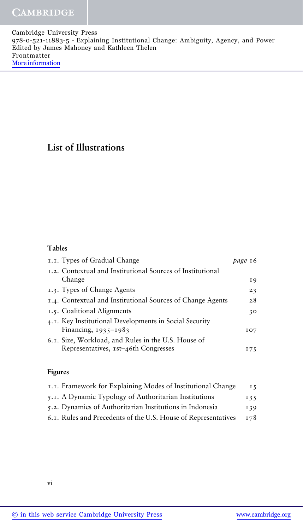# **List of Illustrations**

#### **Tables**

| I.I. Types of Gradual Change                                                                | page 16 |
|---------------------------------------------------------------------------------------------|---------|
| 1.2. Contextual and Institutional Sources of Institutional<br>Change                        | 19      |
| 1.3. Types of Change Agents                                                                 | 23      |
| 1.4. Contextual and Institutional Sources of Change Agents                                  | 28      |
| 1.5. Coalitional Alignments                                                                 | 30      |
| 4.1. Key Institutional Developments in Social Security<br>Financing, $1935 - 1983$          | 107     |
| 6.1. Size, Workload, and Rules in the U.S. House of<br>Representatives, 1st-46th Congresses | 175     |

#### **Figures**

| 1.1. Framework for Explaining Modes of Institutional Change    | $I\bar{S}$ |
|----------------------------------------------------------------|------------|
| 5.1. A Dynamic Typology of Authoritarian Institutions          | 135        |
| 5.2. Dynamics of Authoritarian Institutions in Indonesia       | 139        |
| 6.1. Rules and Precedents of the U.S. House of Representatives | 178        |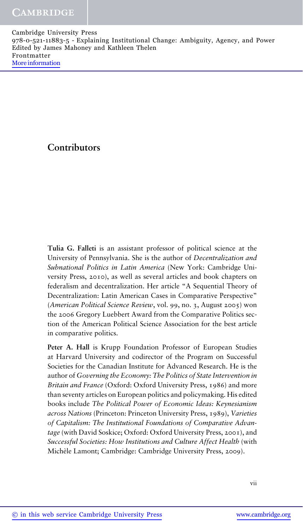## **Contributors**

**Tulia G. Falleti** is an assistant professor of political science at the University of Pennsylvania. She is the author of *Decentralization and Subnational Politics in Latin America* (New York: Cambridge University Press, 2010), as well as several articles and book chapters on federalism and decentralization. Her article "A Sequential Theory of Decentralization: Latin American Cases in Comparative Perspective" (*American Political Science Review*, vol. 99, no. 3, August 2005) won the 2006 Gregory Luebbert Award from the Comparative Politics section of the American Political Science Association for the best article in comparative politics.

Peter A. Hall is Krupp Foundation Professor of European Studies at Harvard University and codirector of the Program on Successful Societies for the Canadian Institute for Advanced Research. He is the author of *Governing the Economy: The Politics of State Intervention in Britain and France* (Oxford: Oxford University Press, 1986) and more than seventy articles on European politics and policymaking. His edited books include *The Political Power of Economic Ideas: Keynesianism across Nations* (Princeton: Princeton University Press, 1989), *Varieties of Capitalism: The Institutional Foundations of Comparative Advantage* (with David Soskice; Oxford: Oxford University Press, 2001), and *Successful Societies: How Institutions and Culture Affect Health* (with Michèle Lamont; Cambridge: Cambridge University Press, 2009).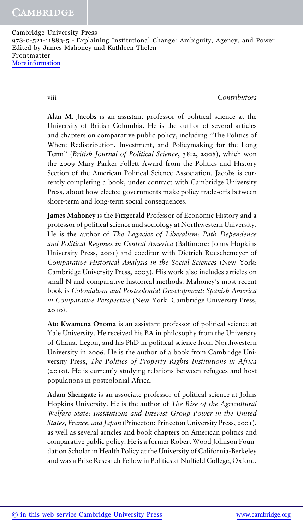viii *Contributors*

**Alan M. Jacobs** is an assistant professor of political science at the University of British Columbia. He is the author of several articles and chapters on comparative public policy, including "The Politics of When: Redistribution, Investment, and Policymaking for the Long Term" (*British Journal of Political Science*, 38:2, 2008), which won the 2009 Mary Parker Follett Award from the Politics and History Section of the American Political Science Association. Jacobs is currently completing a book, under contract with Cambridge University Press, about how elected governments make policy trade-offs between short-term and long-term social consequences.

**James Mahoney** is the Fitzgerald Professor of Economic History and a professor of political science and sociology at Northwestern University. He is the author of *The Legacies of Liberalism: Path Dependence and Political Regimes in Central America* (Baltimore: Johns Hopkins University Press, 2001) and coeditor with Dietrich Rueschemeyer of *Comparative Historical Analysis in the Social Sciences* (New York: Cambridge University Press, 2003). His work also includes articles on small-N and comparative-historical methods. Mahoney's most recent book is *Colonialism and Postcolonial Development: Spanish America in Comparative Perspective* (New York: Cambridge University Press, 2010).

**Ato Kwamena Onoma** is an assistant professor of political science at Yale University. He received his BA in philosophy from the University of Ghana, Legon, and his PhD in political science from Northwestern University in 2006. He is the author of a book from Cambridge University Press, *The Politics of Property Rights Institutions in Africa* (2010). He is currently studying relations between refugees and host populations in postcolonial Africa.

**Adam Sheingate** is an associate professor of political science at Johns Hopkins University. He is the author of *The Rise of the Agricultural Welfare State: Institutions and Interest Group Power in the United States, France, and Japan* (Princeton: Princeton University Press, 2001), as well as several articles and book chapters on American politics and comparative public policy. He is a former Robert Wood Johnson Foundation Scholar in Health Policy at the University of California-Berkeley and was a Prize Research Fellow in Politics at Nuffield College, Oxford.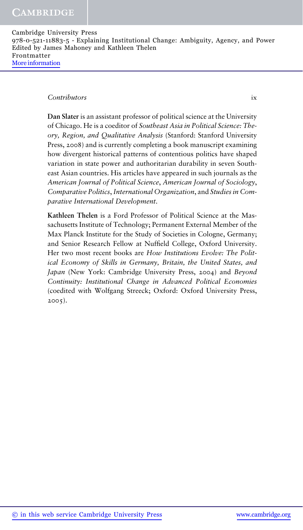#### *Contributors* ix

**Dan Slater** is an assistant professor of political science at the University of Chicago. He is a coeditor of *Southeast Asia in Political Science: Theory, Region, and Qualitative Analysis* (Stanford: Stanford University Press, 2008) and is currently completing a book manuscript examining how divergent historical patterns of contentious politics have shaped variation in state power and authoritarian durability in seven Southeast Asian countries. His articles have appeared in such journals as the *American Journal of Political Science*, *American Journal of Sociology*, *Comparative Politics*,*International Organization*, and *Studies in Comparative International Development*.

**Kathleen Thelen** is a Ford Professor of Political Science at the Massachusetts Institute of Technology; Permanent External Member of the Max Planck Institute for the Study of Societies in Cologne, Germany; and Senior Research Fellow at Nuffield College, Oxford University. Her two most recent books are *How Institutions Evolve: The Political Economy of Skills in Germany, Britain, the United States, and Japan* (New York: Cambridge University Press, 2004) and *Beyond Continuity: Institutional Change in Advanced Political Economies* (coedited with Wolfgang Streeck; Oxford: Oxford University Press, 2005).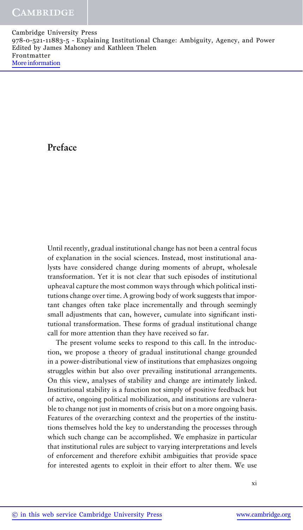### **Preface**

Until recently, gradual institutional change has not been a central focus of explanation in the social sciences. Instead, most institutional analysts have considered change during moments of abrupt, wholesale transformation. Yet it is not clear that such episodes of institutional upheaval capture the most common ways through which political institutions change over time. A growing body of work suggests that important changes often take place incrementally and through seemingly small adjustments that can, however, cumulate into significant institutional transformation. These forms of gradual institutional change call for more attention than they have received so far.

The present volume seeks to respond to this call. In the introduction, we propose a theory of gradual institutional change grounded in a power-distributional view of institutions that emphasizes ongoing struggles within but also over prevailing institutional arrangements. On this view, analyses of stability and change are intimately linked. Institutional stability is a function not simply of positive feedback but of active, ongoing political mobilization, and institutions are vulnerable to change not just in moments of crisis but on a more ongoing basis. Features of the overarching context and the properties of the institutions themselves hold the key to understanding the processes through which such change can be accomplished. We emphasize in particular that institutional rules are subject to varying interpretations and levels of enforcement and therefore exhibit ambiguities that provide space for interested agents to exploit in their effort to alter them. We use

xi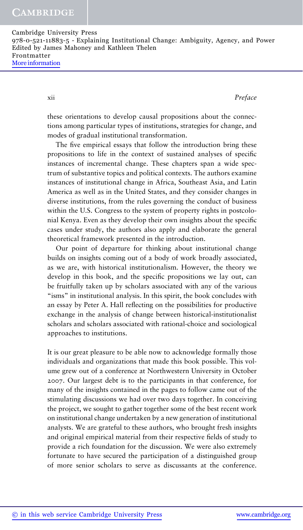Cambridge University Press

978-0-521-11883-5 - Explaining Institutional Change: Ambiguity, Agency, and Power Edited by James Mahoney and Kathleen Thelen Frontmatter [More information](http://www.cambridge.org/9780521118835)

xii *Preface*

these orientations to develop causal propositions about the connections among particular types of institutions, strategies for change, and modes of gradual institutional transformation.

The five empirical essays that follow the introduction bring these propositions to life in the context of sustained analyses of specific instances of incremental change. These chapters span a wide spectrum of substantive topics and political contexts. The authors examine instances of institutional change in Africa, Southeast Asia, and Latin America as well as in the United States, and they consider changes in diverse institutions, from the rules governing the conduct of business within the U.S. Congress to the system of property rights in postcolonial Kenya. Even as they develop their own insights about the specific cases under study, the authors also apply and elaborate the general theoretical framework presented in the introduction.

Our point of departure for thinking about institutional change builds on insights coming out of a body of work broadly associated, as we are, with historical institutionalism. However, the theory we develop in this book, and the specific propositions we lay out, can be fruitfully taken up by scholars associated with any of the various "isms" in institutional analysis. In this spirit, the book concludes with an essay by Peter A. Hall reflecting on the possibilities for productive exchange in the analysis of change between historical-institutionalist scholars and scholars associated with rational-choice and sociological approaches to institutions.

It is our great pleasure to be able now to acknowledge formally those individuals and organizations that made this book possible. This volume grew out of a conference at Northwestern University in October 2007. Our largest debt is to the participants in that conference, for many of the insights contained in the pages to follow came out of the stimulating discussions we had over two days together. In conceiving the project, we sought to gather together some of the best recent work on institutional change undertaken by a new generation of institutional analysts. We are grateful to these authors, who brought fresh insights and original empirical material from their respective fields of study to provide a rich foundation for the discussion. We were also extremely fortunate to have secured the participation of a distinguished group of more senior scholars to serve as discussants at the conference.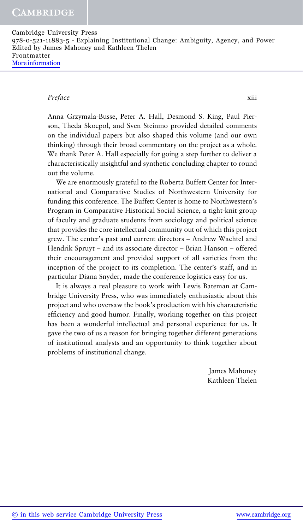#### *Preface* xiii

Anna Grzymala-Busse, Peter A. Hall, Desmond S. King, Paul Pierson, Theda Skocpol, and Sven Steinmo provided detailed comments on the individual papers but also shaped this volume (and our own thinking) through their broad commentary on the project as a whole. We thank Peter A. Hall especially for going a step further to deliver a characteristically insightful and synthetic concluding chapter to round out the volume.

We are enormously grateful to the Roberta Buffett Center for International and Comparative Studies of Northwestern University for funding this conference. The Buffett Center is home to Northwestern's Program in Comparative Historical Social Science, a tight-knit group of faculty and graduate students from sociology and political science that provides the core intellectual community out of which this project grew. The center's past and current directors – Andrew Wachtel and Hendrik Spruyt – and its associate director – Brian Hanson – offered their encouragement and provided support of all varieties from the inception of the project to its completion. The center's staff, and in particular Diana Snyder, made the conference logistics easy for us.

It is always a real pleasure to work with Lewis Bateman at Cambridge University Press, who was immediately enthusiastic about this project and who oversaw the book's production with his characteristic efficiency and good humor. Finally, working together on this project has been a wonderful intellectual and personal experience for us. It gave the two of us a reason for bringing together different generations of institutional analysts and an opportunity to think together about problems of institutional change.

> James Mahoney Kathleen Thelen